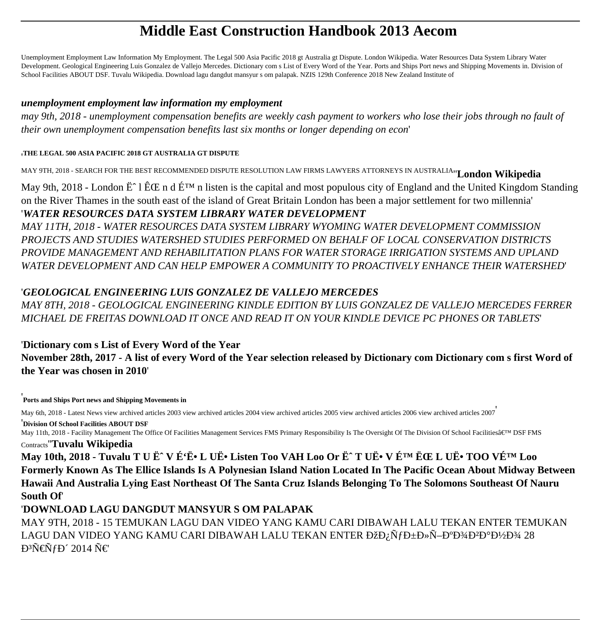# **Middle East Construction Handbook 2013 Aecom**

Unemployment Employment Law Information My Employment. The Legal 500 Asia Pacific 2018 gt Australia gt Dispute. London Wikipedia. Water Resources Data System Library Water Development. Geological Engineering Luis Gonzalez de Vallejo Mercedes. Dictionary com s List of Every Word of the Year. Ports and Ships Port news and Shipping Movements in. Division of School Facilities ABOUT DSF. Tuvalu Wikipedia. Download lagu dangdut mansyur s om palapak. NZIS 129th Conference 2018 New Zealand Institute of

#### *unemployment employment law information my employment*

*may 9th, 2018 - unemployment compensation benefits are weekly cash payment to workers who lose their jobs through no fault of their own unemployment compensation benefits last six months or longer depending on econ*'

#### '**THE LEGAL 500 ASIA PACIFIC 2018 GT AUSTRALIA GT DISPUTE**

MAY 9TH, 2018 - SEARCH FOR THE BEST RECOMMENDED DISPUTE RESOLUTION LAW FIRMS LAWYERS ATTORNEYS IN AUSTRALIA''**London Wikipedia**

May 9th, 2018 - London  $\ddot{E}$  1  $\hat{E} \times E$  n d  $\acute{E}^{TM}$  n listen is the capital and most populous city of England and the United Kingdom Standing on the River Thames in the south east of the island of Great Britain London has been a major settlement for two millennia' '*WATER RESOURCES DATA SYSTEM LIBRARY WATER DEVELOPMENT*

*MAY 11TH, 2018 - WATER RESOURCES DATA SYSTEM LIBRARY WYOMING WATER DEVELOPMENT COMMISSION PROJECTS AND STUDIES WATERSHED STUDIES PERFORMED ON BEHALF OF LOCAL CONSERVATION DISTRICTS PROVIDE MANAGEMENT AND REHABILITATION PLANS FOR WATER STORAGE IRRIGATION SYSTEMS AND UPLAND WATER DEVELOPMENT AND CAN HELP EMPOWER A COMMUNITY TO PROACTIVELY ENHANCE THEIR WATERSHED*'

#### '*GEOLOGICAL ENGINEERING LUIS GONZALEZ DE VALLEJO MERCEDES*

*MAY 8TH, 2018 - GEOLOGICAL ENGINEERING KINDLE EDITION BY LUIS GONZALEZ DE VALLEJO MERCEDES FERRER MICHAEL DE FREITAS DOWNLOAD IT ONCE AND READ IT ON YOUR KINDLE DEVICE PC PHONES OR TABLETS*'

'**Dictionary com s List of Every Word of the Year November 28th, 2017 - A list of every Word of the Year selection released by Dictionary com Dictionary com s first Word of the Year was chosen in 2010**'

'**Ports and Ships Port news and Shipping Movements in**

May 6th, 2018 - Latest News view archived articles 2003 view archived articles 2004 view archived articles 2005 view archived articles 2006 view archived articles 2007'

'**Division Of School Facilities ABOUT DSF** May 11th, 2018 - Facility Management The Office Of Facilities Management Services FMS Primary Responsibility Is The Oversight Of The Division Of School Facilities' DSF FMS Contracts''**Tuvalu Wikipedia**

May 10th, 2018 - Tuvalu T U Ë<sup>~</sup> V É<sup>c</sup>Ë• L UË• Listen Too VAH Loo Or Ë<sup>~</sup> T UË• V É<sup>TM</sup> ËŒ L UË• TOO VÉ<sup>TM</sup> Loo **Formerly Known As The Ellice Islands Is A Polynesian Island Nation Located In The Pacific Ocean About Midway Between Hawaii And Australia Lying East Northeast Of The Santa Cruz Islands Belonging To The Solomons Southeast Of Nauru South Of**'

### '**DOWNLOAD LAGU DANGDUT MANSYUR S OM PALAPAK**

MAY 9TH, 2018 - 15 TEMUKAN LAGU DAN VIDEO YANG KAMU CARI DIBAWAH LALU TEKAN ENTER TEMUKAN LAGU DAN VIDEO YANG KAMU CARI DIBAWAH LALU TEKAN ENTER ĐžĐ<sub>i</sub> ÑfбĐ»Ñ-аĐ¾Đ<sup>2</sup>аĐ½Đ¾ 28  $D^3\tilde{N}$ ۄfд 2014  $\tilde{N}$ €'